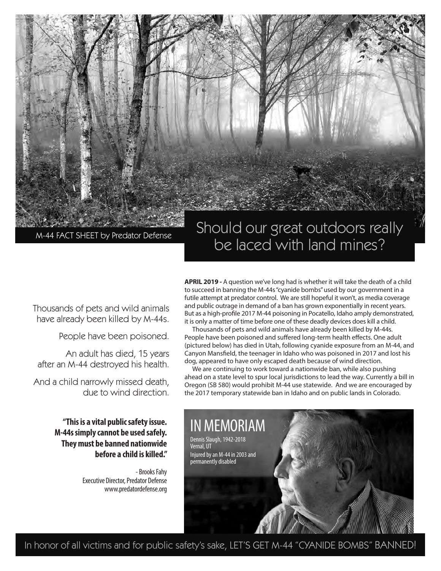

# Should our great outdoors really be laced with land mines?

Thousands of pets and wild animals have already been killed by M-44s.

People have been poisoned.

An adult has died, 15 years after an M-44 destroyed his health.

And a child narrowly missed death, due to wind direction.

> **"This is a vital public safety issue. M-44s simply cannot be used safely. They must be banned nationwide before a child is killed."**

> > - Brooks Fahy Executive Director, Predator Defense www.predatordefense.org

**APRIL 2019 -** A question we've long had is whether it will take the death of a child to succeed in banning the M-44s "cyanide bombs" used by our government in a futile attempt at predator control. We are still hopeful it won't, as media coverage and public outrage in demand of a ban has grown exponentially in recent years. But as a high-profile 2017 M-44 poisoning in Pocatello, Idaho amply demonstrated, it is only a matter of time before one of these deadly devices does kill a child.

Thousands of pets and wild animals have already been killed by M-44s. People have been poisoned and suffered long-term health effects. One adult (pictured below) has died in Utah, following cyanide exposure from an M-44, and Canyon Mansfield, the teenager in Idaho who was poisoned in 2017 and lost his dog, appeared to have only escaped death because of wind direction.

We are continuing to work toward a nationwide ban, while also pushing ahead on a state level to spur local jurisdictions to lead the way. Currently a bill in Oregon (SB 580) would prohibit M-44 use statewide. And we are encouraged by the 2017 temporary statewide ban in Idaho and on public lands in Colorado.



In honor of all victims and for public safety's sake, LET'S GET M-44 "CYANIDE BOMBS" BANNED!